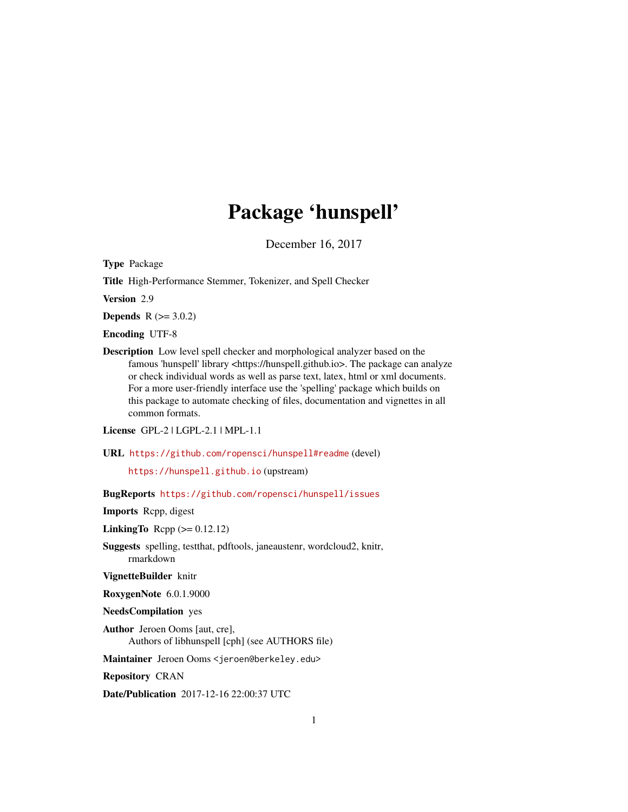## Package 'hunspell'

December 16, 2017

<span id="page-0-0"></span>Type Package

Title High-Performance Stemmer, Tokenizer, and Spell Checker

Version 2.9

**Depends**  $R (= 3.0.2)$ 

Encoding UTF-8

Description Low level spell checker and morphological analyzer based on the famous 'hunspell' library <https://hunspell.github.io>. The package can analyze or check individual words as well as parse text, latex, html or xml documents. For a more user-friendly interface use the 'spelling' package which builds on this package to automate checking of files, documentation and vignettes in all common formats.

License GPL-2 | LGPL-2.1 | MPL-1.1

URL <https://github.com/ropensci/hunspell#readme> (devel)

<https://hunspell.github.io> (upstream)

BugReports <https://github.com/ropensci/hunspell/issues>

Imports Rcpp, digest

LinkingTo Rcpp  $(>= 0.12.12)$ 

Suggests spelling, testthat, pdftools, janeaustenr, wordcloud2, knitr, rmarkdown

VignetteBuilder knitr

RoxygenNote 6.0.1.9000

NeedsCompilation yes

Author Jeroen Ooms [aut, cre], Authors of libhunspell [cph] (see AUTHORS file)

Maintainer Jeroen Ooms <jeroen@berkeley.edu>

Repository CRAN

Date/Publication 2017-12-16 22:00:37 UTC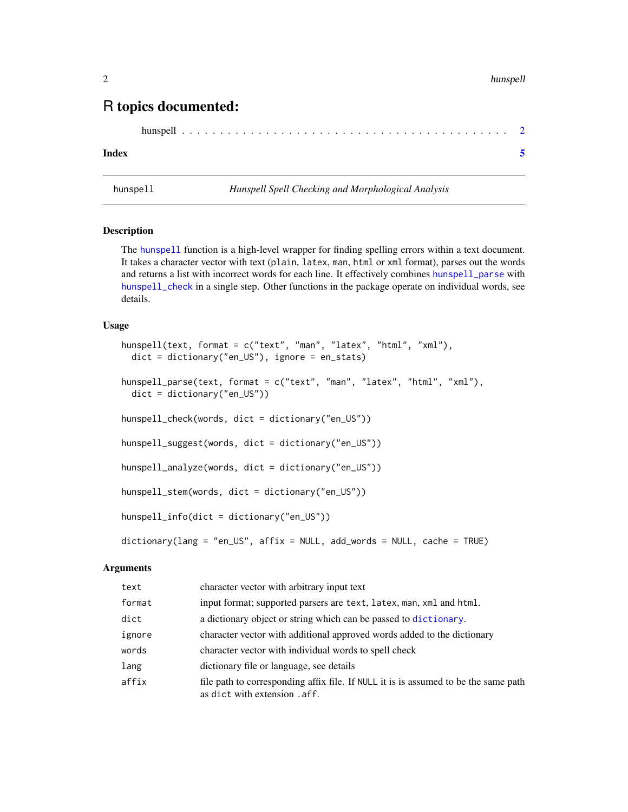### <span id="page-1-0"></span>R topics documented:

|--|--|--|--|--|--|--|--|--|--|--|--|--|--|--|--|--|--|--|--|--|--|--|--|--|--|--|--|--|--|--|--|--|--|--|--|--|--|--|--|--|--|--|--|--|--|

#### **Index** [5](#page-4-0). The second state of the second state of the second state of the second state of the second state of the second state of the second state of the second state of the second state of the second state of the second

<span id="page-1-1"></span>

hunspell *Hunspell Spell Checking and Morphological Analysis*

#### <span id="page-1-2"></span>Description

The [hunspell](#page-1-1) function is a high-level wrapper for finding spelling errors within a text document. It takes a character vector with text (plain, latex, man, html or xml format), parses out the words and returns a list with incorrect words for each line. It effectively combines [hunspell\\_parse](#page-1-2) with [hunspell\\_check](#page-1-2) in a single step. Other functions in the package operate on individual words, see details.

#### Usage

```
hunspell(text, format = c("text", "man", "latex", "html", "xml"),
 dict = dictionary("en_US"), ignore = en_stats)
hunspell_parse(text, format = c("text", "man", "latex", "html", "xml"),
 dict = dictionary("en_US"))
hunspell_check(words, dict = dictionary("en_US"))
hunspell_suggest(words, dict = dictionary("en_US"))
hunspell_analyze(words, dict = dictionary("en_US"))
hunspell_stem(words, dict = dictionary("en_US"))
hunspell_info(dict = dictionary("en_US"))
dictionary(lang = "en_US", affix = NULL, add_words = NULL, cache = TRUE)
```
#### Arguments

| text   | character vector with arbitrary input text                                                                           |
|--------|----------------------------------------------------------------------------------------------------------------------|
| format | input format; supported parsers are text, latex, man, xml and html.                                                  |
| dict   | a dictionary object or string which can be passed to dictionary.                                                     |
| ignore | character vector with additional approved words added to the dictionary                                              |
| words  | character vector with individual words to spell check                                                                |
| lang   | dictionary file or language, see details                                                                             |
| affix  | file path to corresponding affix file. If NULL it is is assumed to be the same path<br>as dict with extension . aff. |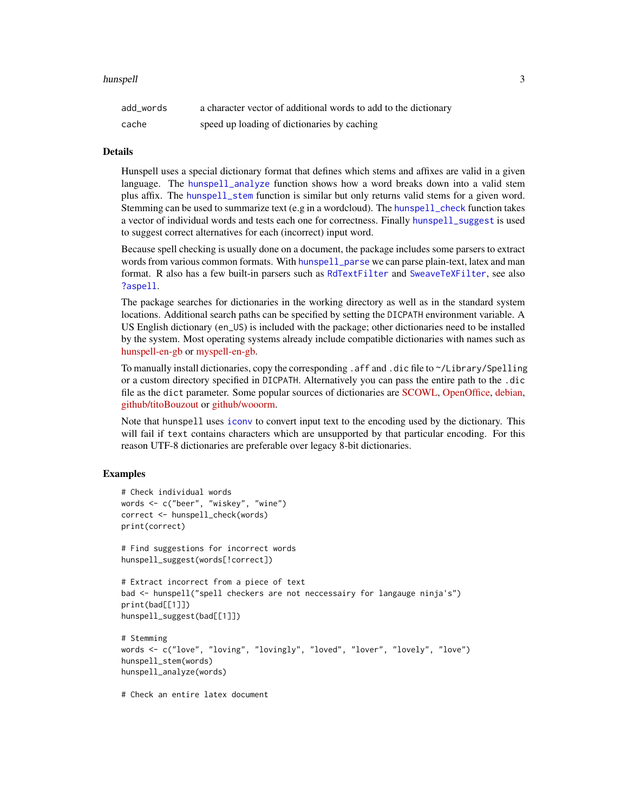#### <span id="page-2-0"></span>hunspell 3

| add words | a character vector of additional words to add to the dictionary |
|-----------|-----------------------------------------------------------------|
| cache     | speed up loading of dictionaries by caching                     |

#### Details

Hunspell uses a special dictionary format that defines which stems and affixes are valid in a given language. The [hunspell\\_analyze](#page-1-2) function shows how a word breaks down into a valid stem plus affix. The [hunspell\\_stem](#page-1-2) function is similar but only returns valid stems for a given word. Stemming can be used to summarize text (e.g in a wordcloud). The [hunspell\\_check](#page-1-2) function takes a vector of individual words and tests each one for correctness. Finally [hunspell\\_suggest](#page-1-2) is used to suggest correct alternatives for each (incorrect) input word.

Because spell checking is usually done on a document, the package includes some parsers to extract words from various common formats. With [hunspell\\_parse](#page-1-2) we can parse plain-text, latex and man format. R also has a few built-in parsers such as [RdTextFilter](#page-0-0) and [SweaveTeXFilter](#page-0-0), see also [?aspell](#page-0-0).

The package searches for dictionaries in the working directory as well as in the standard system locations. Additional search paths can be specified by setting the DICPATH environment variable. A US English dictionary (en\_US) is included with the package; other dictionaries need to be installed by the system. Most operating systems already include compatible dictionaries with names such as [hunspell-en-gb](https://packages.debian.org/sid/hunspell-en-gb) or [myspell-en-gb.](https://packages.debian.org/sid/myspell-en-gb)

To manually install dictionaries, copy the corresponding .aff and .dic file to ~/Library/Spelling or a custom directory specified in DICPATH. Alternatively you can pass the entire path to the .dic file as the dict parameter. Some popular sources of dictionaries are [SCOWL,](http://wordlist.aspell.net/dicts/) [OpenOffice,](http://ftp.snt.utwente.nl/pub/software/openoffice/contrib/dictionaries/) [debian,](http://archive.ubuntu.com/ubuntu/pool/main/libr/libreoffice-dictionaries/?C=S;O=D) [github/titoBouzout](https://github.com/titoBouzout/Dictionaries) or [github/wooorm.](https://github.com/wooorm/dictionaries)

Note that hunspell uses [iconv](#page-0-0) to convert input text to the encoding used by the dictionary. This will fail if text contains characters which are unsupported by that particular encoding. For this reason UTF-8 dictionaries are preferable over legacy 8-bit dictionaries.

#### Examples

```
# Check individual words
words <- c("beer", "wiskey", "wine")
correct <- hunspell_check(words)
print(correct)
# Find suggestions for incorrect words
hunspell_suggest(words[!correct])
# Extract incorrect from a piece of text
bad <- hunspell("spell checkers are not neccessairy for langauge ninja's")
print(bad[[1]])
hunspell_suggest(bad[[1]])
# Stemming
words <- c("love", "loving", "lovingly", "loved", "lover", "lovely", "love")
hunspell_stem(words)
hunspell_analyze(words)
# Check an entire latex document
```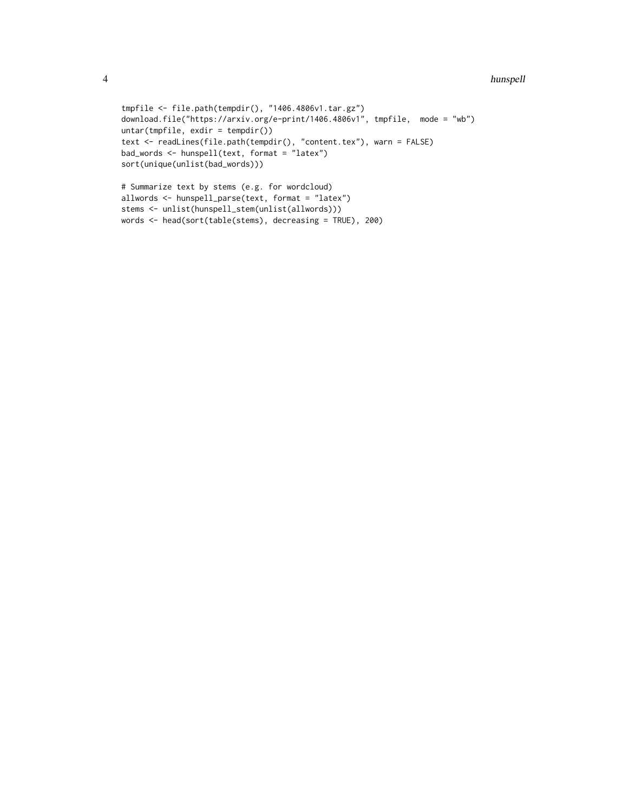```
4 hunspell
```

```
tmpfile <- file.path(tempdir(), "1406.4806v1.tar.gz")
download.file("https://arxiv.org/e-print/1406.4806v1", tmpfile, mode = "wb")
untar(tmpfile, exdir = tempdir())
text <- readLines(file.path(tempdir(), "content.tex"), warn = FALSE)
bad_words <- hunspell(text, format = "latex")
sort(unique(unlist(bad_words)))
# Summarize text by stems (e.g. for wordcloud)
```

```
allwords <- hunspell_parse(text, format = "latex")
stems <- unlist(hunspell_stem(unlist(allwords)))
words <- head(sort(table(stems), decreasing = TRUE), 200)
```